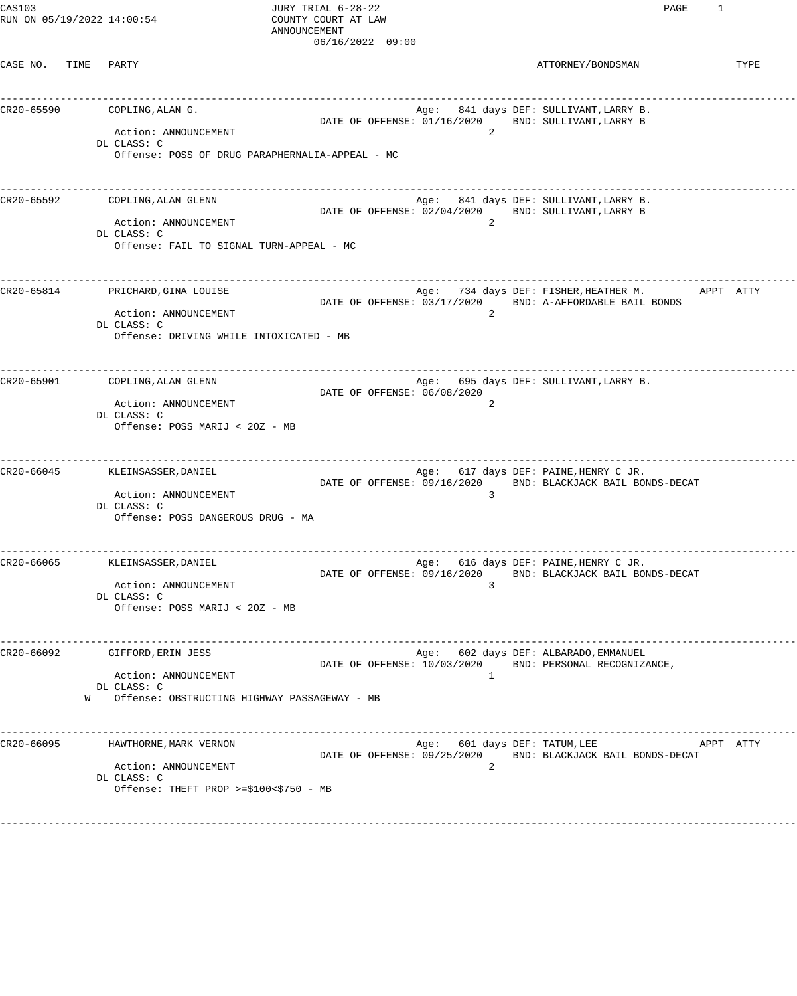| CAS103 |  |                            |  |  |  |  |  |
|--------|--|----------------------------|--|--|--|--|--|
|        |  | RUN ON 05/19/2022 14:00:54 |  |  |  |  |  |

JURY TRIAL 6-28-22 PAGE 1 COUNTY COURT AT LAW ANNOUNCEMENT 06/16/2022 09:00

| CR20-65590 | COPLING, ALANG.                                                                                                                                   |                             |                                   |                                                                                                  |  |
|------------|---------------------------------------------------------------------------------------------------------------------------------------------------|-----------------------------|-----------------------------------|--------------------------------------------------------------------------------------------------|--|
|            | Action: ANNOUNCEMENT<br>DL CLASS: C<br>Offense: POSS OF DRUG PARAPHERNALIA-APPEAL - MC                                                            | DATE OF OFFENSE: 01/16/2020 | 2                                 | Age: 841 days DEF: SULLIVANT, LARRY B.<br>BND: SULLIVANT, LARRY B                                |  |
| CR20-65592 | COPLING, ALAN GLENN<br>Action: ANNOUNCEMENT<br>DL CLASS: C<br>Offense: FAIL TO SIGNAL TURN-APPEAL - MC                                            |                             | 2                                 | Age: 841 days DEF: SULLIVANT, LARRY B.<br>DATE OF OFFENSE: 02/04/2020 BND: SULLIVANT, LARRY B    |  |
| CR20-65814 | --------------------------------------<br>PRICHARD, GINA LOUISE<br>Action: ANNOUNCEMENT<br>DL CLASS: C<br>Offense: DRIVING WHILE INTOXICATED - MB | DATE OF OFFENSE: 03/17/2020 | 2                                 | Age: 734 days DEF: FISHER, HEATHER M.<br>APPT ATTY<br>BND: A-AFFORDABLE BAIL BONDS               |  |
| CR20-65901 | COPLING, ALAN GLENN<br>Action: ANNOUNCEMENT<br>DL CLASS: C<br>Offense: POSS MARIJ < 20Z - MB                                                      | DATE OF OFFENSE: 06/08/2020 | 2                                 | Age: 695 days DEF: SULLIVANT, LARRY B.                                                           |  |
| CR20-66045 | KLEINSASSER, DANIEL<br>Action: ANNOUNCEMENT<br>DL CLASS: C<br>Offense: POSS DANGEROUS DRUG - MA                                                   | DATE OF OFFENSE: 09/16/2020 | 3                                 | Age: 617 days DEF: PAINE, HENRY C JR.<br>BND: BLACKJACK BAIL BONDS-DECAT                         |  |
| CR20-66065 | KLEINSASSER, DANIEL<br>Action: ANNOUNCEMENT<br>DL CLASS: C<br>Offense: POSS MARIJ < 20Z - MB                                                      | DATE OF OFFENSE: 09/16/2020 | 3                                 | Age: 616 days DEF: PAINE, HENRY C JR.<br>BND: BLACKJACK BAIL BONDS-DECAT                         |  |
| CR20-66092 | ---------------------------------<br>GIFFORD, ERIN JESS<br>Action: ANNOUNCEMENT<br>DL CLASS: C<br>W Offense: OBSTRUCTING HIGHWAY PASSAGEWAY - MB  |                             | $\mathbf{1}$                      | Age: 602 days DEF: ALBARADO, EMMANUEL<br>DATE OF OFFENSE: 10/03/2020 BND: PERSONAL RECOGNIZANCE, |  |
| CR20-66095 | HAWTHORNE, MARK VERNON<br>Action: ANNOUNCEMENT<br>DL CLASS: C<br>Offense: THEFT PROP >=\$100<\$750 - MB                                           |                             | Age: 601 days DEF: TATUM,LEE<br>2 | APPT ATTY<br>DATE OF OFFENSE: 09/25/2020 BND: BLACKJACK BAIL BONDS-DECAT                         |  |